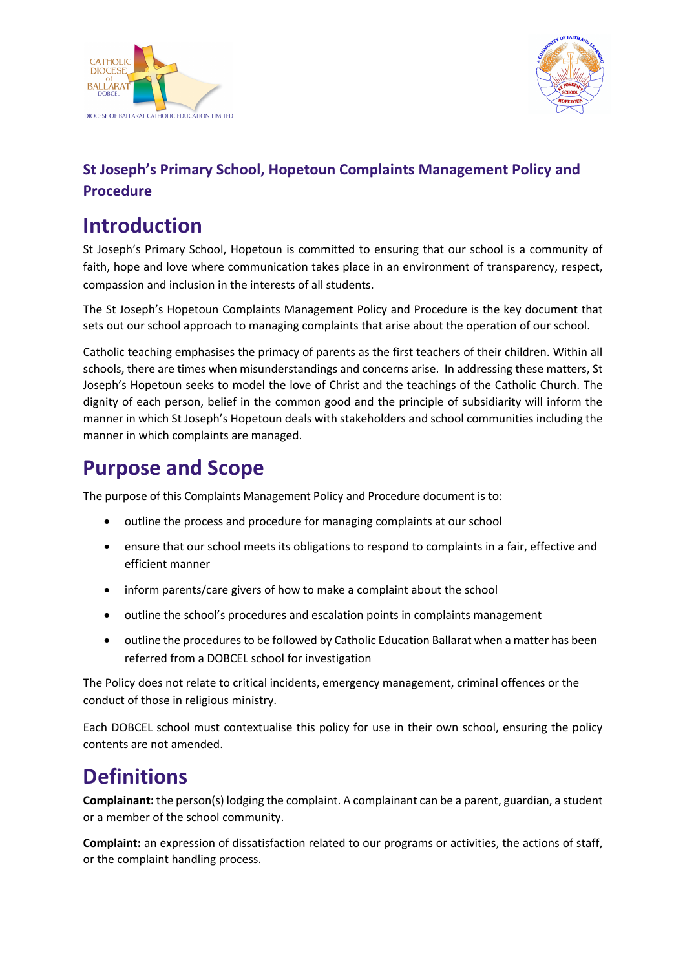



### **St Joseph's Primary School, Hopetoun Complaints Management Policy and Procedure**

# **Introduction**

St Joseph's Primary School, Hopetoun is committed to ensuring that our school is a community of faith, hope and love where communication takes place in an environment of transparency, respect, compassion and inclusion in the interests of all students.

The St Joseph's Hopetoun Complaints Management Policy and Procedure is the key document that sets out our school approach to managing complaints that arise about the operation of our school.

Catholic teaching emphasises the primacy of parents as the first teachers of their children. Within all schools, there are times when misunderstandings and concerns arise. In addressing these matters, St Joseph's Hopetoun seeks to model the love of Christ and the teachings of the Catholic Church. The dignity of each person, belief in the common good and the principle of subsidiarity will inform the manner in which St Joseph's Hopetoun deals with stakeholders and school communities including the manner in which complaints are managed.

# **Purpose and Scope**

The purpose of this Complaints Management Policy and Procedure document is to:

- outline the process and procedure for managing complaints at our school
- ensure that our school meets its obligations to respond to complaints in a fair, effective and efficient manner
- inform parents/care givers of how to make a complaint about the school
- outline the school's procedures and escalation points in complaints management
- outline the procedures to be followed by Catholic Education Ballarat when a matter has been referred from a DOBCEL school for investigation

The Policy does not relate to critical incidents, emergency management, criminal offences or the conduct of those in religious ministry.

Each DOBCEL school must contextualise this policy for use in their own school, ensuring the policy contents are not amended.

# **Definitions**

**Complainant:** the person(s) lodging the complaint. A complainant can be a parent, guardian, a student or a member of the school community.

**Complaint:** an expression of dissatisfaction related to our programs or activities, the actions of staff, or the complaint handling process.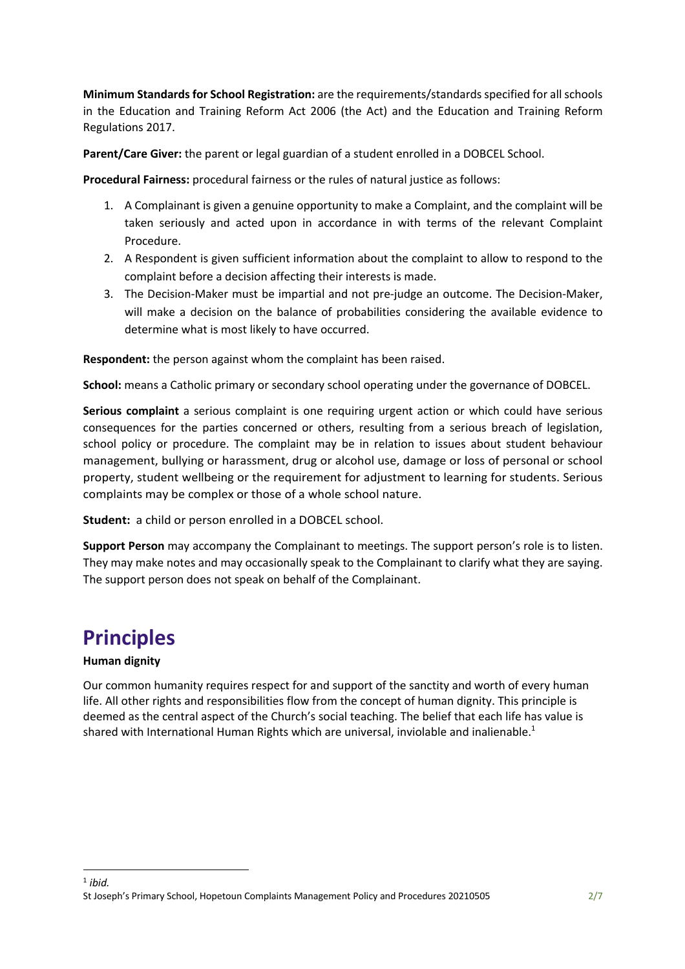**Minimum Standards for School Registration:** are the requirements/standards specified for all schools in the Education and Training Reform Act 2006 (the Act) and the Education and Training Reform Regulations 2017.

**Parent/Care Giver:** the parent or legal guardian of a student enrolled in a DOBCEL School.

**Procedural Fairness:** procedural fairness or the rules of natural justice as follows:

- 1. A Complainant is given a genuine opportunity to make a Complaint, and the complaint will be taken seriously and acted upon in accordance in with terms of the relevant Complaint Procedure.
- 2. A Respondent is given sufficient information about the complaint to allow to respond to the complaint before a decision affecting their interests is made.
- 3. The Decision-Maker must be impartial and not pre-judge an outcome. The Decision-Maker, will make a decision on the balance of probabilities considering the available evidence to determine what is most likely to have occurred.

**Respondent:** the person against whom the complaint has been raised.

**School:** means a Catholic primary or secondary school operating under the governance of DOBCEL.

**Serious complaint** a serious complaint is one requiring urgent action or which could have serious consequences for the parties concerned or others, resulting from a serious breach of legislation, school policy or procedure. The complaint may be in relation to issues about student behaviour management, bullying or harassment, drug or alcohol use, damage or loss of personal or school property, student wellbeing or the requirement for adjustment to learning for students. Serious complaints may be complex or those of a whole school nature.

**Student:** a child or person enrolled in a DOBCEL school.

**Support Person** may accompany the Complainant to meetings. The support person's role is to listen. They may make notes and may occasionally speak to the Complainant to clarify what they are saying. The support person does not speak on behalf of the Complainant.

## **Principles**

#### **Human dignity**

Our common humanity requires respect for and support of the sanctity and worth of every human life. All other rights and responsibilities flow from the concept of human dignity. This principle is deemed as the central aspect of the Church's social teaching. The belief that each life has value is shared with International Human Rights which are universal, inviolable and inalienable.<sup>1</sup>

St Joseph's Primary School, Hopetoun Complaints Management Policy and Procedures 20210505 2/7  $<sup>1</sup>$  *ibid.*</sup>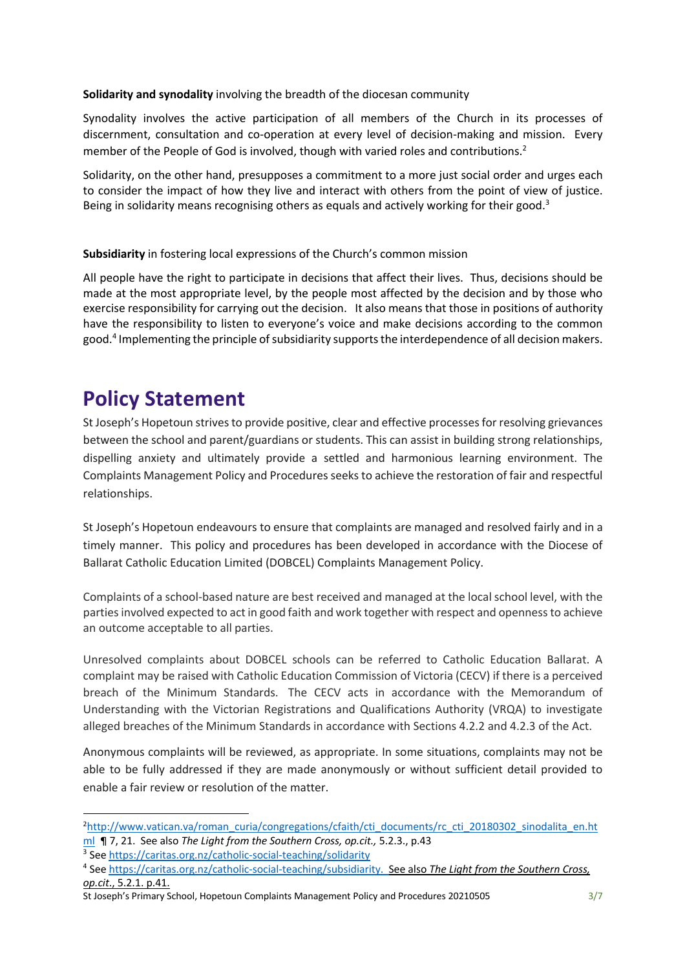#### **Solidarity and synodality** involving the breadth of the diocesan community

Synodality involves the active participation of all members of the Church in its processes of discernment, consultation and co-operation at every level of decision-making and mission. Every member of the People of God is involved, though with varied roles and contributions.<sup>2</sup>

Solidarity, on the other hand, presupposes a commitment to a more just social order and urges each to consider the impact of how they live and interact with others from the point of view of justice. Being in solidarity means recognising others as equals and actively working for their good.<sup>3</sup>

#### **Subsidiarity** in fostering local expressions of the Church's common mission

All people have the right to participate in decisions that affect their lives. Thus, decisions should be made at the most appropriate level, by the people most affected by the decision and by those who exercise responsibility for carrying out the decision. It also means that those in positions of authority have the responsibility to listen to everyone's voice and make decisions according to the common good.4 Implementing the principle of subsidiarity supports the interdependence of all decision makers.

## **Policy Statement**

St Joseph's Hopetoun strives to provide positive, clear and effective processes for resolving grievances between the school and parent/guardians or students. This can assist in building strong relationships, dispelling anxiety and ultimately provide a settled and harmonious learning environment. The Complaints Management Policy and Procedures seeks to achieve the restoration of fair and respectful relationships.

St Joseph's Hopetoun endeavours to ensure that complaints are managed and resolved fairly and in a timely manner. This policy and procedures has been developed in accordance with the Diocese of Ballarat Catholic Education Limited (DOBCEL) Complaints Management Policy.

Complaints of a school-based nature are best received and managed at the localschool level, with the parties involved expected to act in good faith and work together with respect and openness to achieve an outcome acceptable to all parties.

Unresolved complaints about DOBCEL schools can be referred to Catholic Education Ballarat. A complaint may be raised with Catholic Education Commission of Victoria (CECV) if there is a perceived breach of the Minimum Standards. The CECV acts in accordance with the Memorandum of Understanding with the Victorian Registrations and Qualifications Authority (VRQA) to investigate alleged breaches of the Minimum Standards in accordance with Sections 4.2.2 and 4.2.3 of the Act.

Anonymous complaints will be reviewed, as appropriate. In some situations, complaints may not be able to be fully addressed if they are made anonymously or without sufficient detail provided to enable a fair review or resolution of the matter.

<sup>&</sup>lt;sup>2</sup>http://www.vatican.va/roman\_curia/congregations/cfaith/cti\_documents/rc\_cti\_20180302\_sinodalita\_en.ht ml ¶ 7, 21. See also *The Light from the Southern Cross, op.cit.,* 5.2.3., p.43

<sup>3</sup> See https://caritas.org.nz/catholic-social-teaching/solidarity

<sup>4</sup> See https://caritas.org.nz/catholic-social-teaching/subsidiarity. See also *The Light from the Southern Cross, op.cit*., 5.2.1. p.41.

St Joseph's Primary School, Hopetoun Complaints Management Policy and Procedures 20210505 3/7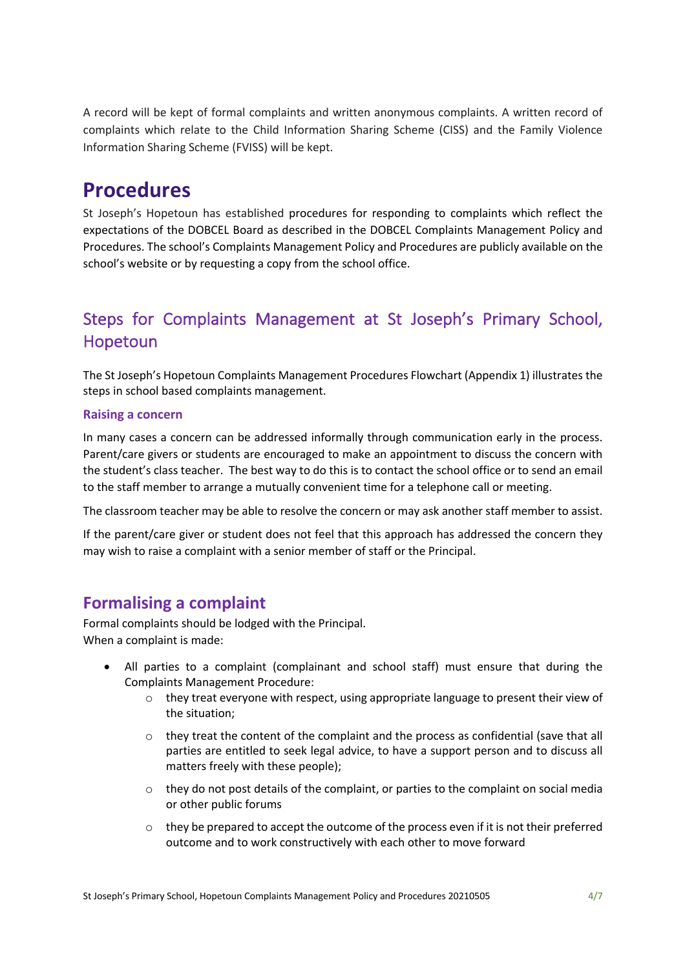A record will be kept of formal complaints and written anonymous complaints. A written record of complaints which relate to the Child Information Sharing Scheme (CISS) and the Family Violence Information Sharing Scheme (FVISS) will be kept.

## **Procedures**

St Joseph's Hopetoun has established procedures for responding to complaints which reflect the expectations of the DOBCEL Board as described in the DOBCEL Complaints Management Policy and Procedures. The school's Complaints Management Policy and Procedures are publicly available on the school's website or by requesting a copy from the school office.

### Steps for Complaints Management at St Joseph's Primary School, Hopetoun

The St Joseph's Hopetoun Complaints Management Procedures Flowchart (Appendix 1) illustrates the steps in school based complaints management.

#### **Raising a concern**

In many cases a concern can be addressed informally through communication early in the process. Parent/care givers or students are encouraged to make an appointment to discuss the concern with the student's class teacher. The best way to do this is to contact the school office or to send an email to the staff member to arrange a mutually convenient time for a telephone call or meeting.

The classroom teacher may be able to resolve the concern or may ask another staff member to assist.

If the parent/care giver or student does not feel that this approach has addressed the concern they may wish to raise a complaint with a senior member of staff or the Principal.

### **Formalising a complaint**

Formal complaints should be lodged with the Principal. When a complaint is made:

- All parties to a complaint (complainant and school staff) must ensure that during the Complaints Management Procedure:
	- $\circ$  they treat everyone with respect, using appropriate language to present their view of the situation;
	- o they treat the content of the complaint and the process as confidential (save that all parties are entitled to seek legal advice, to have a support person and to discuss all matters freely with these people);
	- $\circ$  they do not post details of the complaint, or parties to the complaint on social media or other public forums
	- $\circ$  they be prepared to accept the outcome of the process even if it is not their preferred outcome and to work constructively with each other to move forward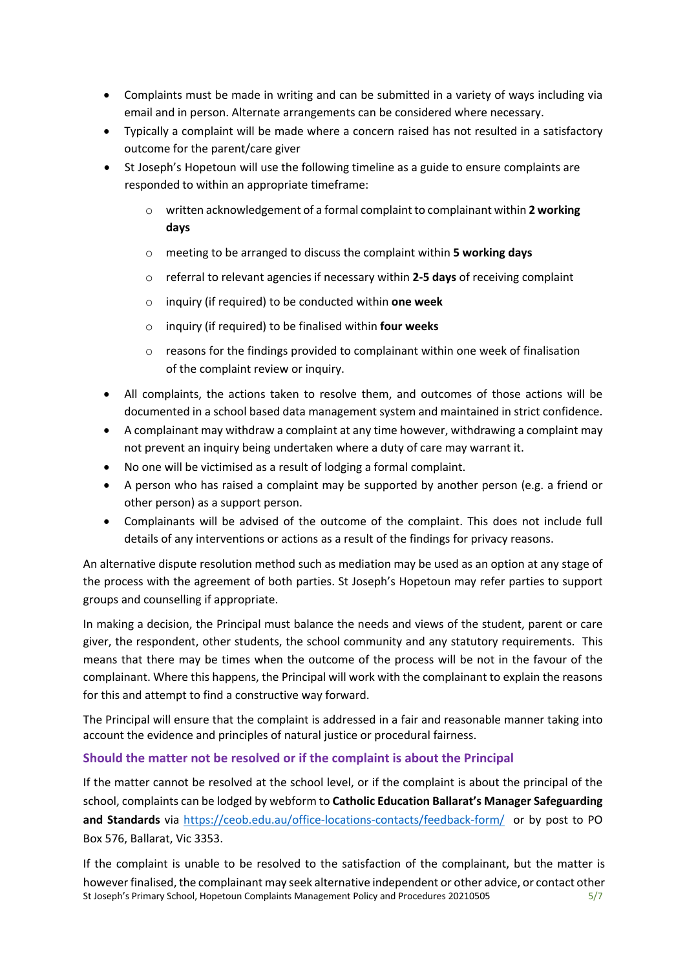- Complaints must be made in writing and can be submitted in a variety of ways including via email and in person. Alternate arrangements can be considered where necessary.
- Typically a complaint will be made where a concern raised has not resulted in a satisfactory outcome for the parent/care giver
- St Joseph's Hopetoun will use the following timeline as a guide to ensure complaints are responded to within an appropriate timeframe:
	- o written acknowledgement of a formal complaint to complainant within **2 working days**
	- o meeting to be arranged to discuss the complaint within **5 working days**
	- o referral to relevant agencies if necessary within **2-5 days** of receiving complaint
	- o inquiry (if required) to be conducted within **one week**
	- o inquiry (if required) to be finalised within **four weeks**
	- $\circ$  reasons for the findings provided to complainant within one week of finalisation of the complaint review or inquiry.
- All complaints, the actions taken to resolve them, and outcomes of those actions will be documented in a school based data management system and maintained in strict confidence.
- A complainant may withdraw a complaint at any time however, withdrawing a complaint may not prevent an inquiry being undertaken where a duty of care may warrant it.
- No one will be victimised as a result of lodging a formal complaint.
- A person who has raised a complaint may be supported by another person (e.g. a friend or other person) as a support person.
- Complainants will be advised of the outcome of the complaint. This does not include full details of any interventions or actions as a result of the findings for privacy reasons.

An alternative dispute resolution method such as mediation may be used as an option at any stage of the process with the agreement of both parties. St Joseph's Hopetoun may refer parties to support groups and counselling if appropriate.

In making a decision, the Principal must balance the needs and views of the student, parent or care giver, the respondent, other students, the school community and any statutory requirements. This means that there may be times when the outcome of the process will be not in the favour of the complainant. Where this happens, the Principal will work with the complainant to explain the reasons for this and attempt to find a constructive way forward.

The Principal will ensure that the complaint is addressed in a fair and reasonable manner taking into account the evidence and principles of natural justice or procedural fairness.

#### **Should the matter not be resolved or if the complaint is about the Principal**

If the matter cannot be resolved at the school level, or if the complaint is about the principal of the school, complaints can be lodged by webform to **Catholic Education Ballarat's Manager Safeguarding and Standards** via https://ceob.edu.au/office-locations-contacts/feedback-form/ or by post to PO Box 576, Ballarat, Vic 3353.

St Joseph's Primary School, Hopetoun Complaints Management Policy and Procedures 20210505 5/7 If the complaint is unable to be resolved to the satisfaction of the complainant, but the matter is however finalised, the complainant may seek alternative independent or other advice, or contact other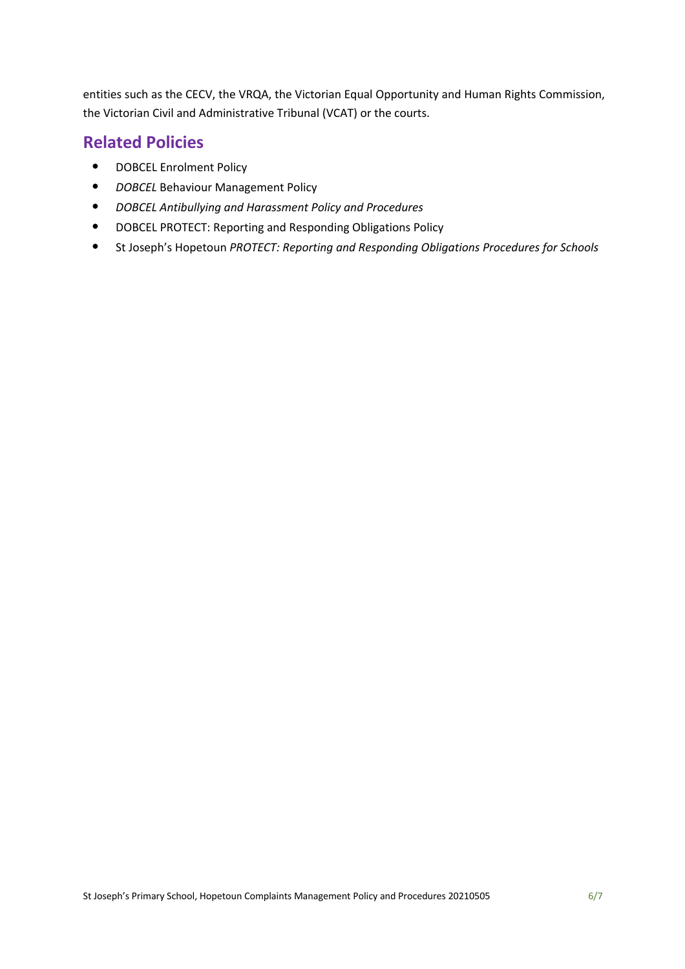entities such as the CECV, the VRQA, the Victorian Equal Opportunity and Human Rights Commission, the Victorian Civil and Administrative Tribunal (VCAT) or the courts.

### **Related Policies**

- DOBCEL Enrolment Policy
- *DOBCEL* Behaviour Management Policy
- *DOBCEL Antibullying and Harassment Policy and Procedures*
- DOBCEL PROTECT: Reporting and Responding Obligations Policy
- St Joseph's Hopetoun *PROTECT: Reporting and Responding Obligations Procedures for Schools*